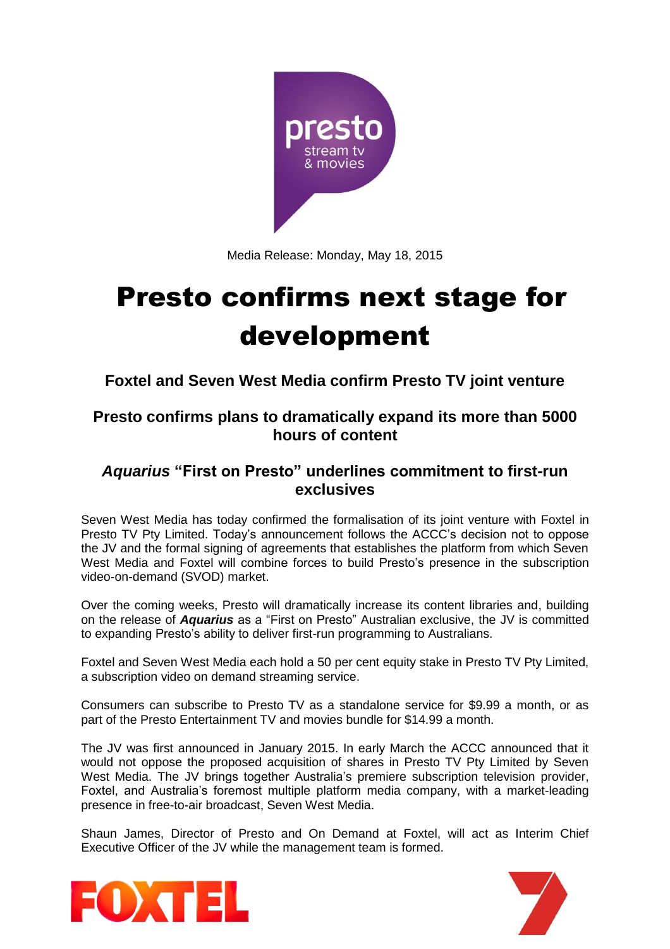

Media Release: Monday, May 18, 2015

# Presto confirms next stage for development

**Foxtel and Seven West Media confirm Presto TV joint venture**

## **Presto confirms plans to dramatically expand its more than 5000 hours of content**

## *Aquarius* **"First on Presto" underlines commitment to first-run exclusives**

Seven West Media has today confirmed the formalisation of its joint venture with Foxtel in Presto TV Pty Limited. Today's announcement follows the ACCC's decision not to oppose the JV and the formal signing of agreements that establishes the platform from which Seven West Media and Foxtel will combine forces to build Presto's presence in the subscription video-on-demand (SVOD) market.

Over the coming weeks, Presto will dramatically increase its content libraries and, building on the release of *Aquarius* as a "First on Presto" Australian exclusive, the JV is committed to expanding Presto's ability to deliver first-run programming to Australians.

Foxtel and Seven West Media each hold a 50 per cent equity stake in Presto TV Pty Limited, a subscription video on demand streaming service.

Consumers can subscribe to Presto TV as a standalone service for \$9.99 a month, or as part of the Presto Entertainment TV and movies bundle for \$14.99 a month.

The JV was first announced in January 2015. In early March the ACCC announced that it would not oppose the proposed acquisition of shares in Presto TV Pty Limited by Seven West Media. The JV brings together Australia's premiere subscription television provider, Foxtel, and Australia's foremost multiple platform media company, with a market-leading presence in free-to-air broadcast, Seven West Media.

Shaun James, Director of Presto and On Demand at Foxtel, will act as Interim Chief Executive Officer of the JV while the management team is formed.



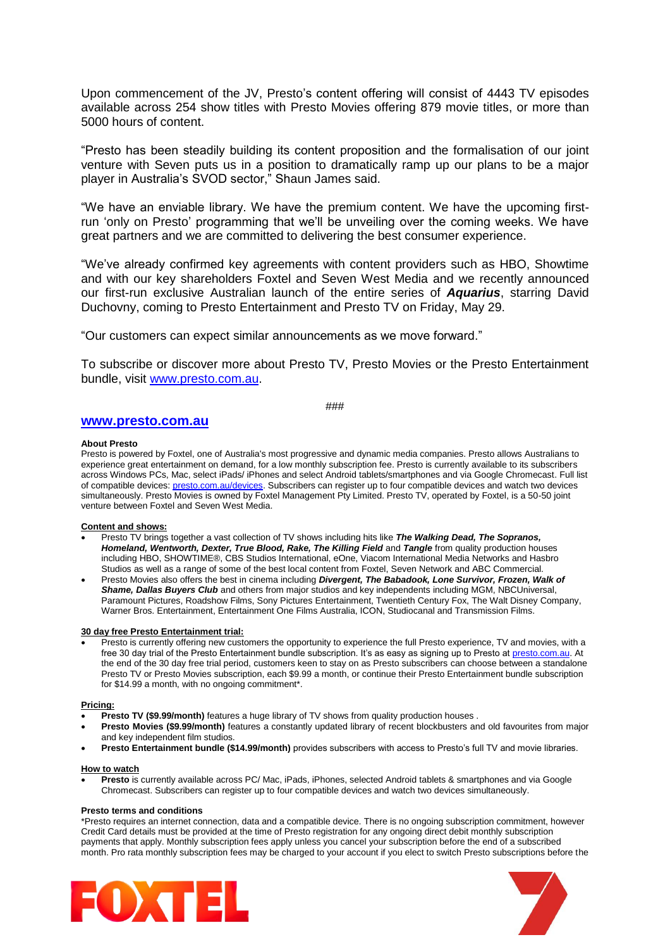Upon commencement of the JV, Presto's content offering will consist of 4443 TV episodes available across 254 show titles with Presto Movies offering 879 movie titles, or more than 5000 hours of content.

"Presto has been steadily building its content proposition and the formalisation of our joint venture with Seven puts us in a position to dramatically ramp up our plans to be a major player in Australia's SVOD sector," Shaun James said.

"We have an enviable library. We have the premium content. We have the upcoming firstrun 'only on Presto' programming that we'll be unveiling over the coming weeks. We have great partners and we are committed to delivering the best consumer experience.

"We've already confirmed key agreements with content providers such as HBO, Showtime and with our key shareholders Foxtel and Seven West Media and we recently announced our first-run exclusive Australian launch of the entire series of *Aquarius*, starring David Duchovny, coming to Presto Entertainment and Presto TV on Friday, May 29.

"Our customers can expect similar announcements as we move forward."

To subscribe or discover more about Presto TV, Presto Movies or the Presto Entertainment bundle, visit [www.presto.com.au.](http://www.presto.com.au/)

###

### **[www.presto.com.au](http://www.presto.com.au/)**

#### **About Presto**

Presto is powered by Foxtel, one of Australia's most progressive and dynamic media companies. Presto allows Australians to experience great entertainment on demand, for a low monthly subscription fee. Presto is currently available to its subscribers across Windows PCs, Mac, select iPads/ iPhones and select Android tablets/smartphones and via Google Chromecast. Full list of compatible devices[: presto.com.au/devices.](http://presto.com.au/devices) Subscribers can register up to four compatible devices and watch two devices simultaneously. Presto Movies is owned by Foxtel Management Pty Limited. Presto TV, operated by Foxtel, is a 50-50 joint venture between Foxtel and Seven West Media.

#### **Content and shows:**

- Presto TV brings together a vast collection of TV shows including hits like *The Walking Dead, The Sopranos,*  Homeland, Wentworth, Dexter, True Blood, Rake, The Killing Field and Tangle from quality production houses including HBO, SHOWTIME®, CBS Studios International, eOne, Viacom International Media Networks and Hasbro Studios as well as a range of some of the best local content from Foxtel, Seven Network and ABC Commercial.
- Presto Movies also offers the best in cinema including *Divergent, The Babadook, Lone Survivor, Frozen, Walk of Shame, Dallas Buyers Club* and others from major studios and key independents including MGM, NBCUniversal, Paramount Pictures, Roadshow Films, Sony Pictures Entertainment, Twentieth Century Fox, The Walt Disney Company, Warner Bros. Entertainment, Entertainment One Films Australia, ICON, Studiocanal and Transmission Films.

#### **30 day free Presto Entertainment trial:**

Presto is currently offering new customers the opportunity to experience the full Presto experience, TV and movies, with a free 30 day trial of the Presto Entertainment bundle subscription. It's as easy as signing up to Presto at **presto.com.au**. At the end of the 30 day free trial period, customers keen to stay on as Presto subscribers can choose between a standalone Presto TV or Presto Movies subscription, each \$9.99 a month, or continue their Presto Entertainment bundle subscription for \$14.99 a month, with no ongoing commitment\*.

#### **Pricing:**

- **Presto TV (\$9.99/month)** features a huge library of TV shows from quality production houses .
- **Presto Movies (\$9.99/month)** features a constantly updated library of recent blockbusters and old favourites from major and key independent film studios.
- **Presto Entertainment bundle (\$14.99/month)** provides subscribers with access to Presto's full TV and movie libraries.

#### **How to watch**

 **Presto** is currently available across PC/ Mac, iPads, iPhones, selected Android tablets & smartphones and via Google Chromecast. Subscribers can register up to four compatible devices and watch two devices simultaneously.

#### **Presto terms and conditions**

\*Presto requires an internet connection, data and a compatible device. There is no ongoing subscription commitment, however Credit Card details must be provided at the time of Presto registration for any ongoing direct debit monthly subscription payments that apply. Monthly subscription fees apply unless you cancel your subscription before the end of a subscribed month. Pro rata monthly subscription fees may be charged to your account if you elect to switch Presto subscriptions before the